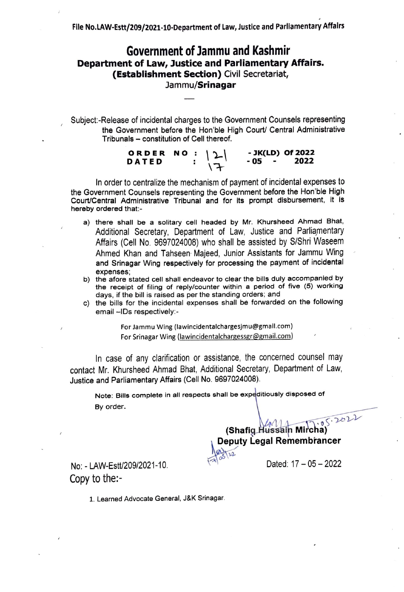## Government of Jammu and Kashmir **Department of Law, Justice and Parliamentary Affairs. (Establishment Section}** Civil Secretariat, **Jammu/Srinagar**

Subject:-Release of incidental charges to the Government Counsels representing the Government before the Hon'bie High Court/ Central Administrative Tribunals - constitution of Cell thereof.

| ORDER NO : $ 2 $ |  |            |        | - JK(LD) Of 2022 |
|------------------|--|------------|--------|------------------|
| <b>DATED</b>     |  | $\sqrt{7}$ | - 05 - | 2022             |

In order to centralize the mechanism of payment of incidental expenses to the Government Counsels representing the Government before the Hon'ble High Court/Central Administrative Tribunal and for its prompt disbursement, it is hereby ordered that:-

- a) there shall be a solitary cell headed by Mr. Khursheed Ahmad Bhat, Additional Secretary, Department of Law, Justice and Parliamentary Affairs (Cell No. 9697024008) who shall be assisted by S/Shri Waseem Ahmed Khan and Tahseen· Majeed, Junior Assistants for Jammu Wing , and Srinagar Wing respectively for processing the payment of incidental expenses;
- b) the afore stated cell shall endeavor to clear the bills duly accompanied by the receipt of filing of reply/counter within a period of five (5) working days, if the bill is raised as per the standing orders; and
- c) the bills for the incidental expenses shall be forwarded on the following email -IDs respectively:-

For Jammu Wing (lawincidentalchargesJmu@gmall.com) For Srinagar Wing (lawincidentalchargessgr@gmail.com)

In case of any clarification or assistance, the concerned counsel may contact Mr. Khursheed Ahmad Bhat, Additional Secretary, Department of Law, Justice and Parliamentary Affairs (Cell No. 9697024008).

Note: Bills complete in all respects shall be expeditiously disposed of By order.

> • o ,;· *y,1,,-V*   $\Delta \Lambda$ **(Shafig.Hussain Mircha) Deputy Legal Remembrancer**

> > Dated:  $17 - 05 - 2022$

No: - LAW-Estt/209/2021-10. Copy to the:-

1. Learned Advocate General, J&K Srinagar.